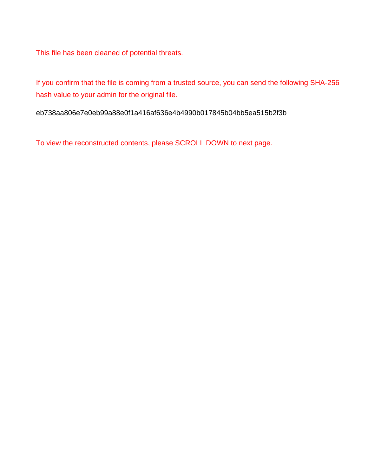This file has been cleaned of potential threats.

If you confirm that the file is coming from a trusted source, you can send the following SHA-256 hash value to your admin for the original file.

eb738aa806e7e0eb99a88e0f1a416af636e4b4990b017845b04bb5ea515b2f3b

To view the reconstructed contents, please SCROLL DOWN to next page.